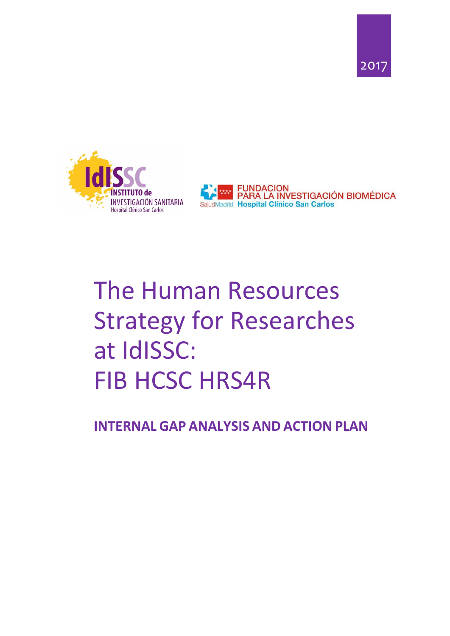





# The Human Resources Strategy for Researches at IdISSC: FIB HCSC HRS4R

**INTERNAL GAP ANALYSIS AND ACTION PLAN**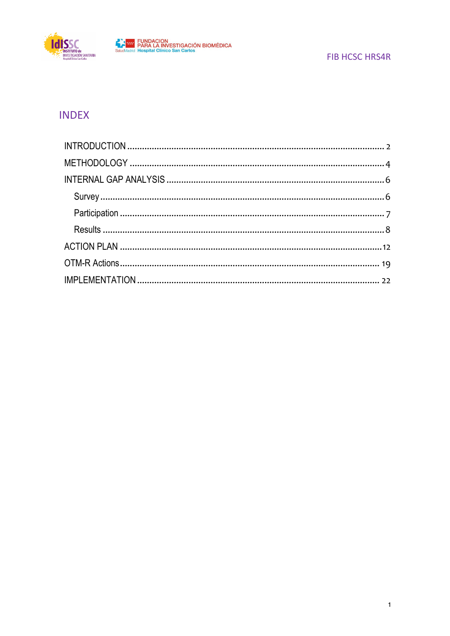

## **INDEX**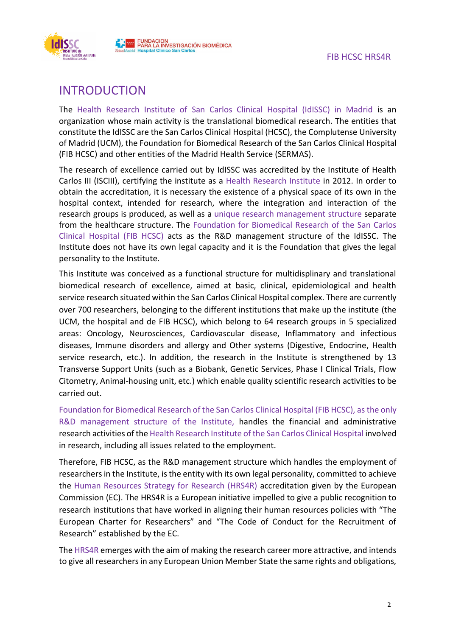

<span id="page-2-0"></span>

The Health Research Institute of San Carlos Clinical Hospital (IdISSC) in Madrid is an organization whose main activity is the translational biomedical research. The entities that constitute the IdISSC are the San Carlos Clinical Hospital (HCSC), the Complutense University of Madrid (UCM), the Foundation for Biomedical Research of the San Carlos Clinical Hospital (FIB HCSC) and other entities of the Madrid Health Service (SERMAS).

The research of excellence carried out by IdISSC was accredited by the Institute of Health Carlos III (ISCIII), certifying the institute as a Health Research Institute in 2012. In order to obtain the accreditation, it is necessary the existence of a physical space of its own in the hospital context, intended for research, where the integration and interaction of the research groups is produced, as well as a unique research management structure separate from the healthcare structure. The Foundation for Biomedical Research of the San Carlos Clinical Hospital (FIB HCSC) acts as the R&D management structure of the IdISSC. The Institute does not have its own legal capacity and it is the Foundation that gives the legal personality to the Institute.

This Institute was conceived as a functional structure for multidisplinary and translational biomedical research of excellence, aimed at basic, clinical, epidemiological and health service research situated within the San Carlos Clinical Hospital complex. There are currently over 700 researchers, belonging to the different institutions that make up the institute (the UCM, the hospital and de FIB HCSC), which belong to 64 research groups in 5 specialized areas: Oncology, Neurosciences, Cardiovascular disease, Inflammatory and infectious diseases, Immune disorders and allergy and Other systems (Digestive, Endocrine, Health service research, etc.). In addition, the research in the Institute is strengthened by 13 Transverse Support Units (such as a Biobank, Genetic Services, Phase I Clinical Trials, Flow Citometry, Animal-housing unit, etc.) which enable quality scientific research activities to be carried out.

Foundation for Biomedical Research of the San Carlos Clinical Hospital (FIB HCSC), as the only R&D management structure of the Institute, handles the financial and administrative research activities of the Health Research Institute of the San Carlos Clinical Hospital involved in research, including all issues related to the employment.

Therefore, FIB HCSC, as the R&D management structure which handles the employment of researchers in the Institute, is the entity with its own legal personality, committed to achieve the Human Resources Strategy for Research (HRS4R) accreditation given by the European Commission (EC). The HRS4R is a European initiative impelled to give a public recognition to research institutions that have worked in aligning their human resources policies with "The European Charter for Researchers" and "The Code of Conduct for the Recruitment of Research" established by the EC.

The HRS4R emerges with the aim of making the research career more attractive, and intends to give all researchers in any European Union Member State the same rights and obligations,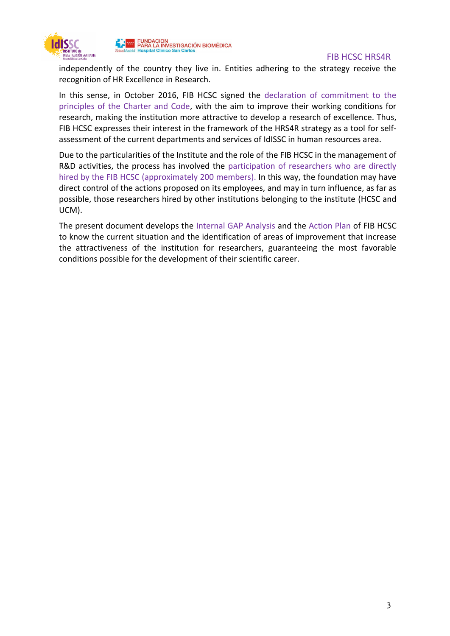

independently of the country they live in. Entities adhering to the strategy receive the recognition of HR Excellence in Research.

In this sense, in October 2016, FIB HCSC signed the declaration of commitment to the principles of the Charter and Code, with the aim to improve their working conditions for research, making the institution more attractive to develop a research of excellence. Thus, FIB HCSC expresses their interest in the framework of the HRS4R strategy as a tool for selfassessment of the current departments and services of IdISSC in human resources area.

Due to the particularities of the Institute and the role of the FIB HCSC in the management of R&D activities, the process has involved the participation of researchers who are directly hired by the FIB HCSC (approximately 200 members). In this way, the foundation may have direct control of the actions proposed on its employees, and may in turn influence, as far as possible, those researchers hired by other institutions belonging to the institute (HCSC and UCM).

<span id="page-3-0"></span>The present document develops the Internal GAP Analysis and the Action Plan of FIB HCSC to know the current situation and the identification of areas of improvement that increase the attractiveness of the institution for researchers, guaranteeing the most favorable conditions possible for the development of their scientific career.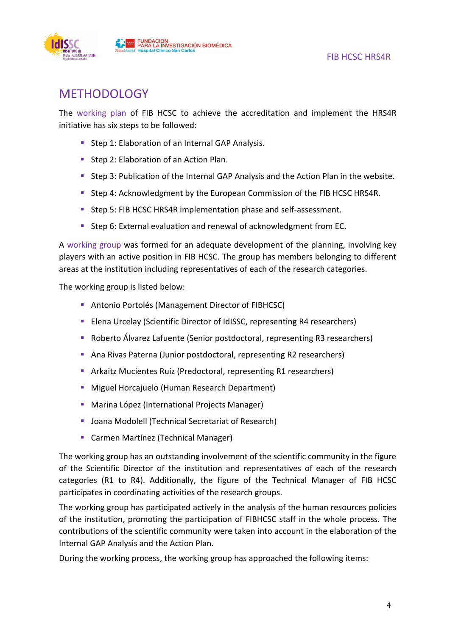

## **METHODOLOGY**

The working plan of FIB HCSC to achieve the accreditation and implement the HRS4R initiative has six steps to be followed:

- **Step 1: Elaboration of an Internal GAP Analysis.**
- Step 2: Elaboration of an Action Plan.
- **Step 3: Publication of the Internal GAP Analysis and the Action Plan in the website.**
- **Step 4: Acknowledgment by the European Commission of the FIB HCSC HRS4R.**
- Step 5: FIB HCSC HRS4R implementation phase and self-assessment.
- Step 6: External evaluation and renewal of acknowledgment from EC.

A working group was formed for an adequate development of the planning, involving key players with an active position in FIB HCSC. The group has members belonging to different areas at the institution including representatives of each of the research categories.

The working group is listed below:

- **Antonio Portolés (Management Director of FIBHCSC)**
- **Elena Urcelay (Scientific Director of IdISSC, representing R4 researchers)**
- Roberto Álvarez Lafuente (Senior postdoctoral, representing R3 researchers)
- Ana Rivas Paterna (Junior postdoctoral, representing R2 researchers)
- Arkaitz Mucientes Ruiz (Predoctoral, representing R1 researchers)
- **Miguel Horcajuelo (Human Research Department)**
- **Marina López (International Projects Manager)**
- **Joana Modolell (Technical Secretariat of Research)**
- **Carmen Martínez (Technical Manager)**

The working group has an outstanding involvement of the scientific community in the figure of the Scientific Director of the institution and representatives of each of the research categories (R1 to R4). Additionally, the figure of the Technical Manager of FIB HCSC participates in coordinating activities of the research groups.

The working group has participated actively in the analysis of the human resources policies of the institution, promoting the participation of FIBHCSC staff in the whole process. The contributions of the scientific community were taken into account in the elaboration of the Internal GAP Analysis and the Action Plan.

During the working process, the working group has approached the following items: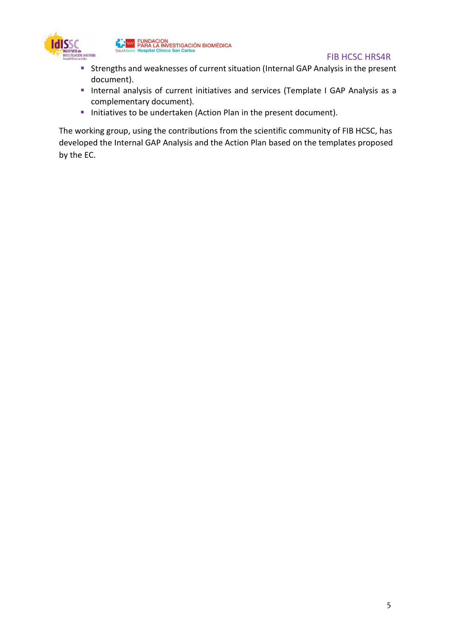

w. FUNDACION<br>Madrid Hospital Clínico San Carlos<br>Madrid Hospital Clínico San Carlos

FIB HCSC HRS4R

- Strengths and weaknesses of current situation (Internal GAP Analysis in the present document).
- **Internal analysis of current initiatives and services (Template I GAP Analysis as a** complementary document).
- **Initiatives to be undertaken (Action Plan in the present document).**

The working group, using the contributions from the scientific community of FIB HCSC, has developed the Internal GAP Analysis and the Action Plan based on the templates proposed by the EC.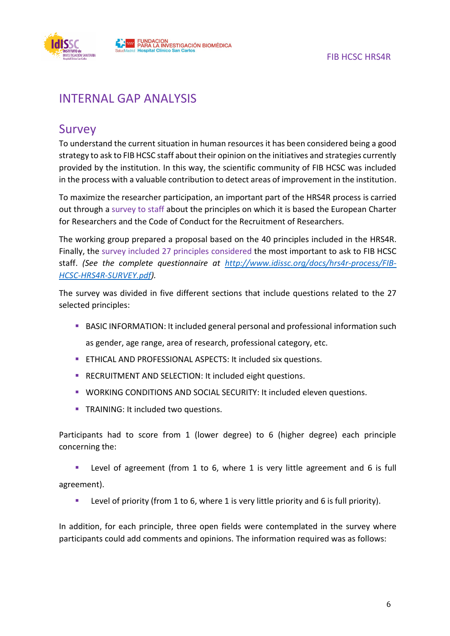

# <span id="page-6-0"></span>INTERNAL GAP ANALYSIS

## <span id="page-6-1"></span>Survey

To understand the current situation in human resources it has been considered being a good strategy to ask to FIB HCSC staff about their opinion on the initiatives and strategies currently provided by the institution. In this way, the scientific community of FIB HCSC was included in the process with a valuable contribution to detect areas of improvement in the institution.

To maximize the researcher participation, an important part of the HRS4R process is carried out through a survey to staff about the principles on which it is based the European Charter for Researchers and the Code of Conduct for the Recruitment of Researchers.

The working group prepared a proposal based on the 40 principles included in the HRS4R. Finally, the survey included 27 principles considered the most important to ask to FIB HCSC staff. *(See the complete questionnaire at [http://www.idissc.org/docs/hrs4r-process/FIB-](http://www.idissc.org/docs/hrs4r-process/FIB-HCSC-HRS4R-SURVEY.pdf)[HCSC-HRS4R-SURVEY.pdf\)](http://www.idissc.org/docs/hrs4r-process/FIB-HCSC-HRS4R-SURVEY.pdf).*

The survey was divided in five different sections that include questions related to the 27 selected principles:

BASIC INFORMATION: It included general personal and professional information such

as gender, age range, area of research, professional category, etc.

- **ETHICAL AND PROFESSIONAL ASPECTS: It included six questions.**
- **RECRUITMENT AND SELECTION: It included eight questions.**
- WORKING CONDITIONS AND SOCIAL SECURITY: It included eleven questions.
- **TRAINING: It included two questions.**

Participants had to score from 1 (lower degree) to 6 (higher degree) each principle concerning the:

 Level of agreement (from 1 to 6, where 1 is very little agreement and 6 is full agreement).

Level of priority (from 1 to 6, where 1 is very little priority and 6 is full priority).

In addition, for each principle, three open fields were contemplated in the survey where participants could add comments and opinions. The information required was as follows: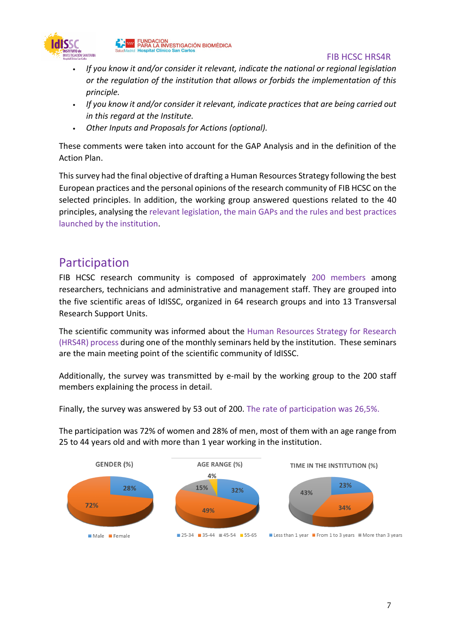

FUNDACIÓN<br>PARA LA INVESTIGACIÓN BIOMÉDICA

#### FIB HCSC HRS4R

- *If you know it and/or consider it relevant, indicate the national or regional legislation or the regulation of the institution that allows or forbids the implementation of this principle.*
- *If you know it and/or consider it relevant, indicate practices that are being carried out in this regard at the Institute.*
- *Other Inputs and Proposals for Actions (optional).*

These comments were taken into account for the GAP Analysis and in the definition of the Action Plan.

This survey had the final objective of drafting a Human Resources Strategy following the best European practices and the personal opinions of the research community of FIB HCSC on the selected principles. In addition, the working group answered questions related to the 40 principles, analysing the relevant legislation, the main GAPs and the rules and best practices launched by the institution.

## <span id="page-7-0"></span>Participation

FIB HCSC research community is composed of approximately 200 members among researchers, technicians and administrative and management staff. They are grouped into the five scientific areas of IdISSC, organized in 64 research groups and into 13 Transversal Research Support Units.

The scientific community was informed about the Human Resources Strategy for Research (HRS4R) process during one of the monthly seminars held by the institution. These seminars are the main meeting point of the scientific community of IdISSC.

Additionally, the survey was transmitted by e-mail by the working group to the 200 staff members explaining the process in detail.

Finally, the survey was answered by 53 out of 200. The rate of participation was 26,5%.

The participation was 72% of women and 28% of men, most of them with an age range from 25 to 44 years old and with more than 1 year working in the institution.

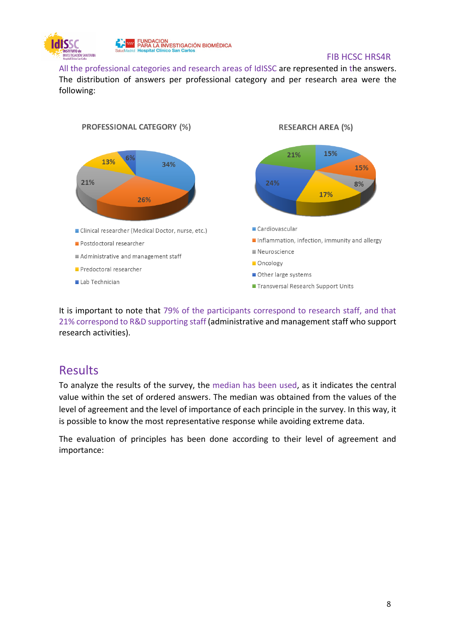

All the professional categories and research areas of IdISSC are represented in the answers. The distribution of answers per professional category and per research area were the following:



It is important to note that 79% of the participants correspond to research staff, and that 21% correspond to R&D supporting staff (administrative and management staff who support research activities).

## <span id="page-8-0"></span>Results

To analyze the results of the survey, the median has been used, as it indicates the central value within the set of ordered answers. The median was obtained from the values of the level of agreement and the level of importance of each principle in the survey. In this way, it is possible to know the most representative response while avoiding extreme data.

The evaluation of principles has been done according to their level of agreement and importance: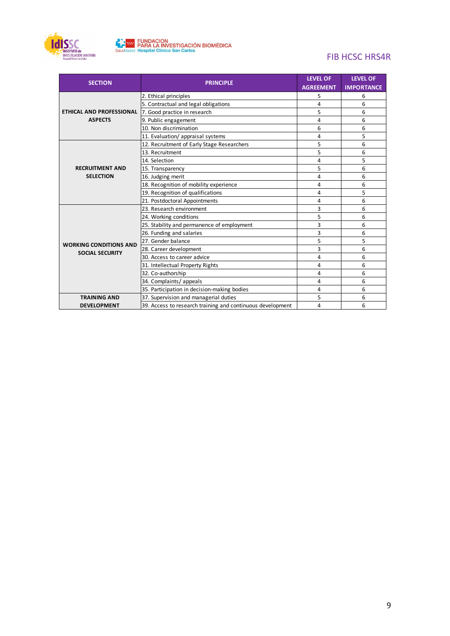



| <b>SECTION</b>                  | <b>PRINCIPLE</b>                                           | <b>LEVEL OF</b>  | <b>LEVEL OF</b>   |
|---------------------------------|------------------------------------------------------------|------------------|-------------------|
|                                 |                                                            | <b>AGREEMENT</b> | <b>IMPORTANCE</b> |
|                                 | 2. Ethical principles                                      | 5                | 6                 |
|                                 | 5. Contractual and legal obligations                       | 4                | 6                 |
| <b>ETHICAL AND PROFESSIONAL</b> | 7. Good practice in research                               | 5                | 6                 |
| <b>ASPECTS</b>                  | 9. Public engagement                                       | 4                | 6                 |
|                                 | 10. Non discrimination                                     | 6                | 6                 |
|                                 | 11. Evaluation/ appraisal systems                          | 4                | 5                 |
|                                 | 12. Recruitment of Early Stage Researchers                 | 5                | 6                 |
|                                 | 13. Recruitment                                            | 5                | 6                 |
|                                 | 14. Selection                                              | 4                | 5                 |
| <b>RECRUITMENT AND</b>          | 15. Transparency                                           | 5                | 6                 |
| <b>SELECTION</b>                | 16. Judging merit                                          | 4                | 6                 |
|                                 | 18. Recognition of mobility experience                     | 4                | 6                 |
|                                 | 19. Recognition of qualifications                          | 4                | 5                 |
|                                 | 21. Postdoctoral Appointments                              | 4                | 6                 |
|                                 | 23. Research environment                                   | 3                | 6                 |
|                                 | 24. Working conditions                                     | 5                | 6                 |
|                                 | 25. Stability and permanence of employment                 | 3                | 6                 |
|                                 | 26. Funding and salaries                                   | 3                | 6                 |
| <b>WORKING CONDITIONS AND</b>   | 27. Gender balance                                         | 5                | 5                 |
| <b>SOCIAL SECURITY</b>          | 28. Career development                                     | 3                | 6                 |
|                                 | 30. Access to career advice                                | 4                | 6                 |
|                                 | 31. Intellectual Property Rights                           | 4                | 6                 |
|                                 | 32. Co-authorship                                          | 4                | 6                 |
|                                 | 34. Complaints/ appeals                                    | 4                | 6                 |
|                                 | 35. Participation in decision-making bodies                | 4                | 6                 |
| <b>TRAINING AND</b>             | 37. Supervision and managerial duties                      | 5                | 6                 |
| <b>DEVELOPMENT</b>              | 39. Access to research training and continuous development | 4                | 6                 |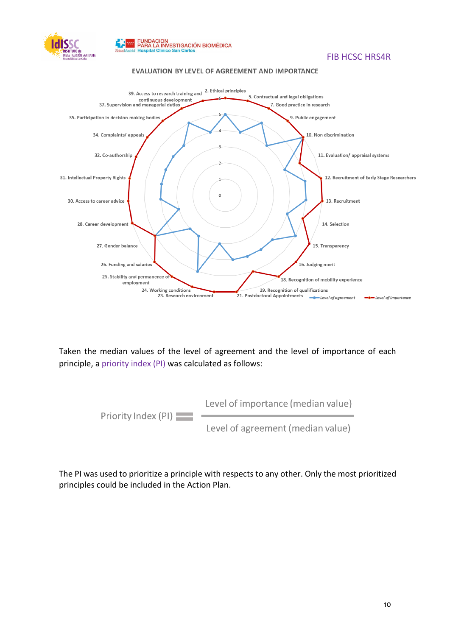





Taken the median values of the level of agreement and the level of importance of each principle, a priority index (PI) was calculated as follows:



The PI was used to prioritize a principle with respects to any other. Only the most prioritized principles could be included in the Action Plan.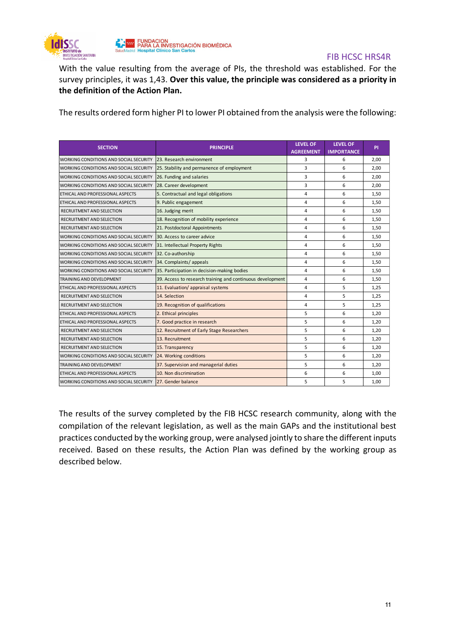

With the value resulting from the average of PIs, the threshold was established. For the survey principles, it was 1,43. **Over this value, the principle was considered as a priority in the definition of the Action Plan.**

The results ordered form higher PI to lower PI obtained from the analysis were the following:

| <b>SECTION</b>                         | <b>PRINCIPLE</b>                                           | <b>LEVEL OF</b><br><b>AGREEMENT</b> | <b>LEVEL OF</b><br><b>IMPORTANCE</b> | <b>PI</b> |
|----------------------------------------|------------------------------------------------------------|-------------------------------------|--------------------------------------|-----------|
| WORKING CONDITIONS AND SOCIAL SECURITY | 23. Research environment                                   | 3                                   | 6                                    | 2,00      |
| WORKING CONDITIONS AND SOCIAL SECURITY | 25. Stability and permanence of employment                 | 3                                   | 6                                    | 2.00      |
| WORKING CONDITIONS AND SOCIAL SECURITY | 26. Funding and salaries                                   | 3                                   | 6                                    | 2,00      |
| WORKING CONDITIONS AND SOCIAL SECURITY | 28. Career development                                     | 3                                   | 6                                    | 2,00      |
| ETHICAL AND PROFESSIONAL ASPECTS       | 5. Contractual and legal obligations                       | 4                                   | 6                                    | 1,50      |
| ETHICAL AND PROFESSIONAL ASPECTS       | 9. Public engagement                                       | 4                                   | 6                                    | 1,50      |
| <b>RECRUITMENT AND SELECTION</b>       | 16. Judging merit                                          | 4                                   | 6                                    | 1,50      |
| RECRUITMENT AND SELECTION              | 18. Recognition of mobility experience                     | 4                                   | 6                                    | 1,50      |
| <b>RECRUITMENT AND SELECTION</b>       | 21. Postdoctoral Appointments                              | 4                                   | 6                                    | 1,50      |
| WORKING CONDITIONS AND SOCIAL SECURITY | 30. Access to career advice                                | 4                                   | 6                                    | 1,50      |
| WORKING CONDITIONS AND SOCIAL SECURITY | 31. Intellectual Property Rights                           | 4                                   | 6                                    | 1,50      |
| WORKING CONDITIONS AND SOCIAL SECURITY | 32. Co-authorship                                          | 4                                   | 6                                    | 1,50      |
| WORKING CONDITIONS AND SOCIAL SECURITY | 34. Complaints/ appeals                                    | 4                                   | 6                                    | 1,50      |
| WORKING CONDITIONS AND SOCIAL SECURITY | 35. Participation in decision-making bodies                | 4                                   | 6                                    | 1,50      |
| TRAINING AND DEVELOPMENT               | 39. Access to research training and continuous development | 4                                   | 6                                    | 1,50      |
| ETHICAL AND PROFESSIONAL ASPECTS       | 11. Evaluation/ appraisal systems                          | 4                                   | 5                                    | 1,25      |
| <b>RECRUITMENT AND SELECTION</b>       | 14. Selection                                              | 4                                   | 5                                    | 1,25      |
| RECRUITMENT AND SELECTION              | 19. Recognition of qualifications                          | 4                                   | 5                                    | 1,25      |
| ETHICAL AND PROFESSIONAL ASPECTS       | 2. Ethical principles                                      | 5                                   | 6                                    | 1,20      |
| ETHICAL AND PROFESSIONAL ASPECTS       | 7. Good practice in research                               | 5                                   | 6                                    | 1,20      |
| RECRUITMENT AND SELECTION              | 12. Recruitment of Early Stage Researchers                 | 5                                   | 6                                    | 1,20      |
| <b>RECRUITMENT AND SELECTION</b>       | 13. Recruitment                                            | 5                                   | 6                                    | 1,20      |
| RECRUITMENT AND SELECTION              | 15. Transparency                                           | 5                                   | 6                                    | 1,20      |
| WORKING CONDITIONS AND SOCIAL SECURITY | 24. Working conditions                                     | 5                                   | 6                                    | 1,20      |
| TRAINING AND DEVELOPMENT               | 37. Supervision and managerial duties                      | 5                                   | 6                                    | 1,20      |
| ETHICAL AND PROFESSIONAL ASPECTS       | 10. Non discrimination                                     | 6                                   | 6                                    | 1,00      |
| WORKING CONDITIONS AND SOCIAL SECURITY | 27. Gender balance                                         | 5                                   | 5                                    | 1,00      |

The results of the survey completed by the FIB HCSC research community, along with the compilation of the relevant legislation, as well as the main GAPs and the institutional best practices conducted by the working group, were analysed jointly to share the different inputs received. Based on these results, the Action Plan was defined by the working group as described below.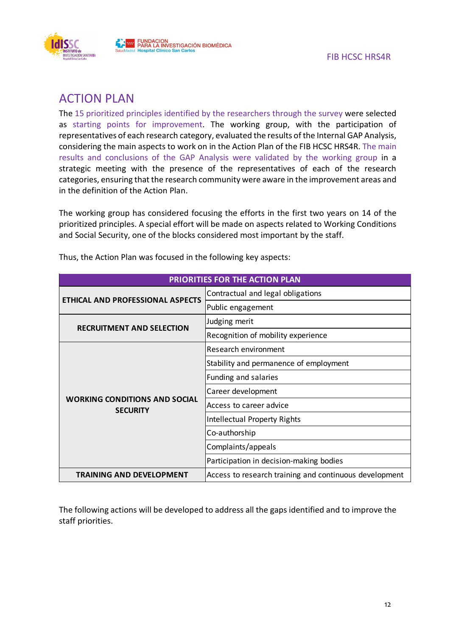

## <span id="page-12-0"></span>ACTION PLAN

The 15 prioritized principles identified by the researchers through the survey were selected as starting points for improvement. The working group, with the participation of representatives of each research category, evaluated the results of the Internal GAP Analysis, considering the main aspects to work on in the Action Plan of the FIB HCSC HRS4R. The main results and conclusions of the GAP Analysis were validated by the working group in a strategic meeting with the presence of the representatives of each of the research categories, ensuring that the research community were aware in the improvement areas and in the definition of the Action Plan.

The working group has considered focusing the efforts in the first two years on 14 of the prioritized principles. A special effort will be made on aspects related to Working Conditions and Social Security, one of the blocks considered most important by the staff.

| <b>PRIORITIES FOR THE ACTION PLAN</b>                   |                                                        |  |
|---------------------------------------------------------|--------------------------------------------------------|--|
|                                                         | Contractual and legal obligations                      |  |
| ETHICAL AND PROFESSIONAL ASPECTS                        | Public engagement                                      |  |
| <b>RECRUITMENT AND SELECTION</b>                        | Judging merit                                          |  |
|                                                         | Recognition of mobility experience                     |  |
|                                                         | Research environment                                   |  |
|                                                         | Stability and permanence of employment                 |  |
|                                                         | Funding and salaries                                   |  |
|                                                         | Career development                                     |  |
| <b>WORKING CONDITIONS AND SOCIAL</b><br><b>SECURITY</b> | Access to career advice                                |  |
|                                                         | <b>Intellectual Property Rights</b>                    |  |
|                                                         | Co-authorship                                          |  |
|                                                         | Complaints/appeals                                     |  |
|                                                         | Participation in decision-making bodies                |  |
| TRAINING AND DEVELOPMENT                                | Access to research training and continuous development |  |

Thus, the Action Plan was focused in the following key aspects:

The following actions will be developed to address all the gaps identified and to improve the staff priorities.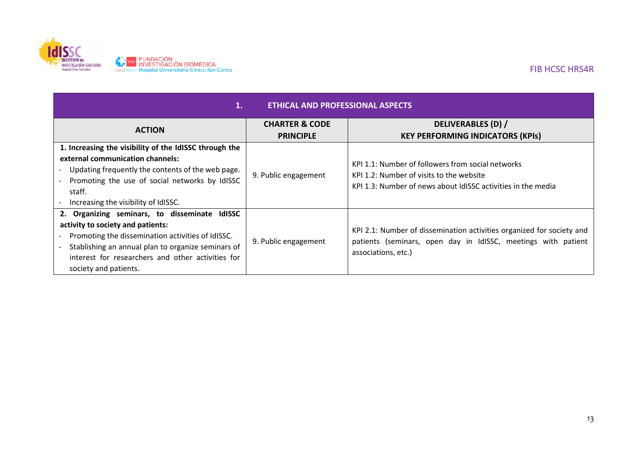

| 1.<br>ETHICAL AND PROFESSIONAL ASPECTS                                                                                                                                                                                                                                         |                                          |                                                                                                                                                               |
|--------------------------------------------------------------------------------------------------------------------------------------------------------------------------------------------------------------------------------------------------------------------------------|------------------------------------------|---------------------------------------------------------------------------------------------------------------------------------------------------------------|
| <b>ACTION</b>                                                                                                                                                                                                                                                                  | <b>CHARTER &amp; CODE</b>                | DELIVERABLES (D) /<br><b>KEY PERFORMING INDICATORS (KPIs)</b>                                                                                                 |
| 1. Increasing the visibility of the IdISSC through the<br>external communication channels:<br>Updating frequently the contents of the web page.<br>Promoting the use of social networks by IdISSC<br>staff.<br>Increasing the visibility of IdISSC.                            | <b>PRINCIPLE</b><br>9. Public engagement | KPI 1.1: Number of followers from social networks<br>KPI 1.2: Number of visits to the website<br>KPI 1.3: Number of news about IdISSC activities in the media |
| Organizing seminars, to disseminate IdISSC<br>2.<br>activity to society and patients:<br>Promoting the dissemination activities of IdISSC.<br>Stablishing an annual plan to organize seminars of<br>interest for researchers and other activities for<br>society and patients. | 9. Public engagement                     | KPI 2.1: Number of dissemination activities organized for society and<br>patients (seminars, open day in IdISSC, meetings with patient<br>associations, etc.) |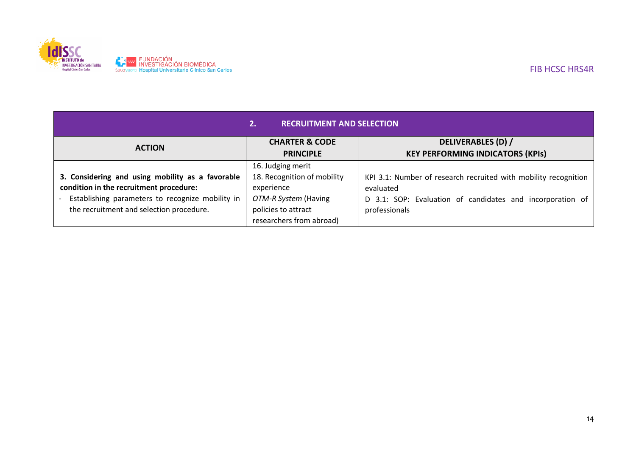

| <b>RECRUITMENT AND SELECTION</b><br>2.                                                       |                                                                         |                                                                              |
|----------------------------------------------------------------------------------------------|-------------------------------------------------------------------------|------------------------------------------------------------------------------|
| <b>ACTION</b>                                                                                | <b>CHARTER &amp; CODE</b><br><b>PRINCIPLE</b>                           | <b>DELIVERABLES (D) /</b><br><b>KEY PERFORMING INDICATORS (KPIs)</b>         |
|                                                                                              | 16. Judging merit                                                       |                                                                              |
| 3. Considering and using mobility as a favorable<br>condition in the recruitment procedure:  | 18. Recognition of mobility<br>experience                               | KPI 3.1: Number of research recruited with mobility recognition<br>evaluated |
| Establishing parameters to recognize mobility in<br>the recruitment and selection procedure. | OTM-R System (Having<br>policies to attract<br>researchers from abroad) | D 3.1: SOP: Evaluation of candidates and incorporation of<br>professionals   |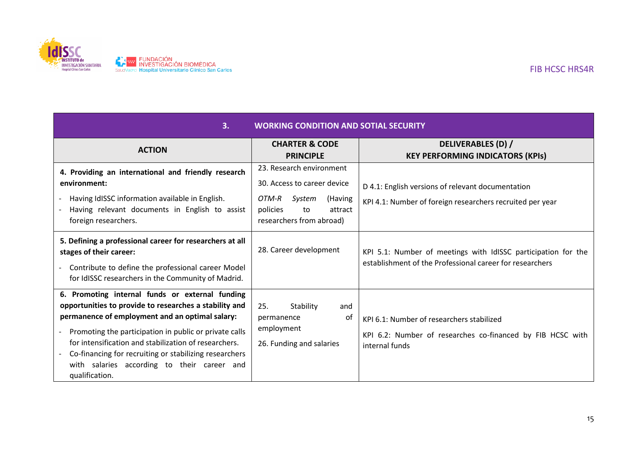

| 3.<br><b>WORKING CONDITION AND SOTIAL SECURITY</b>                                                                                                                                                                                                                                                                                                                                                                           |                                                                                                                                             |                                                                                                                           |  |
|------------------------------------------------------------------------------------------------------------------------------------------------------------------------------------------------------------------------------------------------------------------------------------------------------------------------------------------------------------------------------------------------------------------------------|---------------------------------------------------------------------------------------------------------------------------------------------|---------------------------------------------------------------------------------------------------------------------------|--|
| <b>ACTION</b>                                                                                                                                                                                                                                                                                                                                                                                                                | <b>CHARTER &amp; CODE</b><br><b>PRINCIPLE</b>                                                                                               | DELIVERABLES (D) /<br><b>KEY PERFORMING INDICATORS (KPIs)</b>                                                             |  |
| 4. Providing an international and friendly research<br>environment:<br>Having IdISSC information available in English.<br>Having relevant documents in English to assist<br>foreign researchers.                                                                                                                                                                                                                             | 23. Research environment<br>30. Access to career device<br>OTM-R System<br>(Having<br>policies<br>attract<br>to<br>researchers from abroad) | D 4.1: English versions of relevant documentation<br>KPI 4.1: Number of foreign researchers recruited per year            |  |
| 5. Defining a professional career for researchers at all<br>stages of their career:<br>Contribute to define the professional career Model<br>for IdISSC researchers in the Community of Madrid.                                                                                                                                                                                                                              | 28. Career development                                                                                                                      | KPI 5.1: Number of meetings with IdISSC participation for the<br>establishment of the Professional career for researchers |  |
| 6. Promoting internal funds or external funding<br>opportunities to provide to researches a stability and<br>permanence of employment and an optimal salary:<br>Promoting the participation in public or private calls<br>$\overline{a}$<br>for intensification and stabilization of researchers.<br>Co-financing for recruiting or stabilizing researchers<br>with salaries according to their career and<br>qualification. | Stability<br>25.<br>and<br>permanence<br>οt<br>employment<br>26. Funding and salaries                                                       | KPI 6.1: Number of researchers stabilized<br>KPI 6.2: Number of researches co-financed by FIB HCSC with<br>internal funds |  |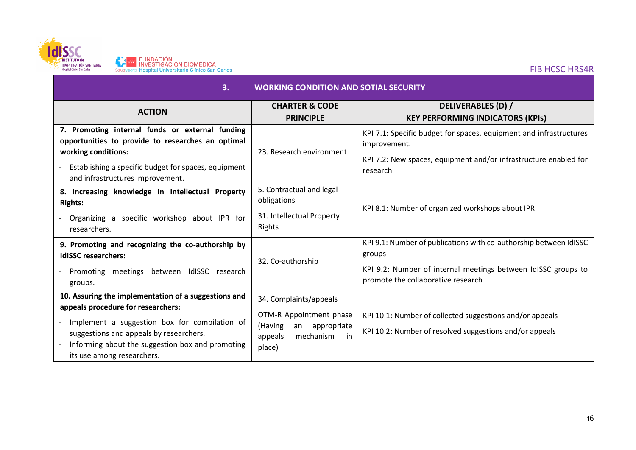

| 3.                                                                                                                                                                                                                                                                       | <b>WORKING CONDITION AND SOTIAL SECURITY</b>                                                                              |                                                                                                                                                                                    |
|--------------------------------------------------------------------------------------------------------------------------------------------------------------------------------------------------------------------------------------------------------------------------|---------------------------------------------------------------------------------------------------------------------------|------------------------------------------------------------------------------------------------------------------------------------------------------------------------------------|
| <b>ACTION</b>                                                                                                                                                                                                                                                            | <b>CHARTER &amp; CODE</b><br><b>PRINCIPLE</b>                                                                             | DELIVERABLES (D) /<br><b>KEY PERFORMING INDICATORS (KPIs)</b>                                                                                                                      |
| 7. Promoting internal funds or external funding<br>opportunities to provide to researches an optimal<br>working conditions:<br>Establishing a specific budget for spaces, equipment<br>and infrastructures improvement.                                                  | 23. Research environment                                                                                                  | KPI 7.1: Specific budget for spaces, equipment and infrastructures<br>improvement.<br>KPI 7.2: New spaces, equipment and/or infrastructure enabled for<br>research                 |
| 8. Increasing knowledge in Intellectual Property<br><b>Rights:</b><br>Organizing a specific workshop about IPR for<br>researchers.                                                                                                                                       | 5. Contractual and legal<br>obligations<br>31. Intellectual Property<br>Rights                                            | KPI 8.1: Number of organized workshops about IPR                                                                                                                                   |
| 9. Promoting and recognizing the co-authorship by<br><b>IdISSC researchers:</b><br>Promoting meetings between IdISSC research<br>groups.                                                                                                                                 | 32. Co-authorship                                                                                                         | KPI 9.1: Number of publications with co-authorship between IdISSC<br>groups<br>KPI 9.2: Number of internal meetings between IdISSC groups to<br>promote the collaborative research |
| 10. Assuring the implementation of a suggestions and<br>appeals procedure for researchers:<br>Implement a suggestion box for compilation of<br>suggestions and appeals by researchers.<br>Informing about the suggestion box and promoting<br>its use among researchers. | 34. Complaints/appeals<br>OTM-R Appointment phase<br>(Having<br>appropriate<br>an<br>mechanism<br>appeals<br>in<br>place) | KPI 10.1: Number of collected suggestions and/or appeals<br>KPI 10.2: Number of resolved suggestions and/or appeals                                                                |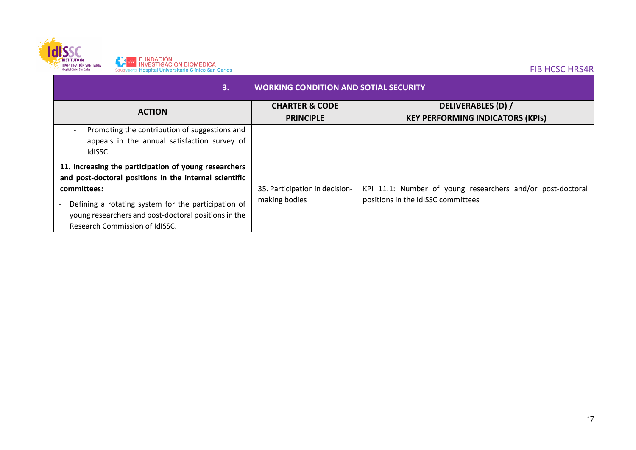

| 3.                                                     | <b>WORKING CONDITION AND SOTIAL SECURITY</b> |                                                            |
|--------------------------------------------------------|----------------------------------------------|------------------------------------------------------------|
| <b>ACTION</b>                                          | <b>CHARTER &amp; CODE</b>                    | DELIVERABLES (D) /                                         |
|                                                        | <b>PRINCIPLE</b>                             | <b>KEY PERFORMING INDICATORS (KPIs)</b>                    |
| Promoting the contribution of suggestions and          |                                              |                                                            |
| appeals in the annual satisfaction survey of           |                                              |                                                            |
| IdISSC.                                                |                                              |                                                            |
| 11. Increasing the participation of young researchers  |                                              |                                                            |
| and post-doctoral positions in the internal scientific |                                              |                                                            |
| committees:                                            | 35. Participation in decision-               | KPI 11.1: Number of young researchers and/or post-doctoral |
| Defining a rotating system for the participation of    | making bodies                                | positions in the IdISSC committees                         |
| young researchers and post-doctoral positions in the   |                                              |                                                            |
| Research Commission of IdISSC.                         |                                              |                                                            |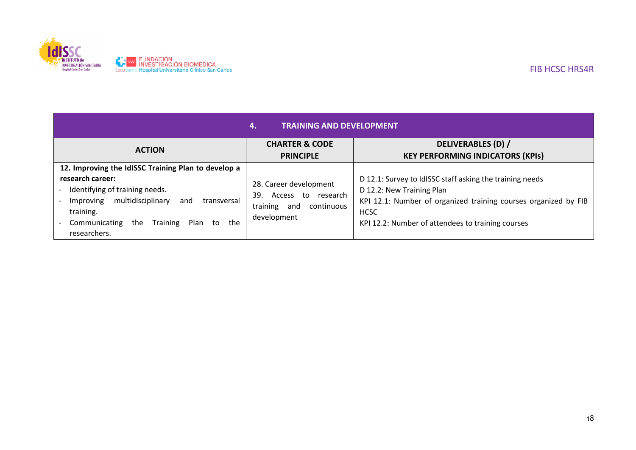

| <b>TRAINING AND DEVELOPMENT</b><br>4.                                                                                                                                                                                                                   |                                                                                                        |                                                                                                                                                                                                                              |
|---------------------------------------------------------------------------------------------------------------------------------------------------------------------------------------------------------------------------------------------------------|--------------------------------------------------------------------------------------------------------|------------------------------------------------------------------------------------------------------------------------------------------------------------------------------------------------------------------------------|
| <b>ACTION</b>                                                                                                                                                                                                                                           | <b>CHARTER &amp; CODE</b><br><b>PRINCIPLE</b>                                                          | DELIVERABLES (D) /<br><b>KEY PERFORMING INDICATORS (KPIs)</b>                                                                                                                                                                |
| 12. Improving the IdISSC Training Plan to develop a<br>research career:<br>Identifying of training needs.<br>multidisciplinary<br>transversal<br>Improving<br>and<br>training.<br>the<br>Training<br>Communicating<br>the<br>Plan<br>to<br>researchers. | 28. Career development<br>39.<br>Access to<br>research<br>training<br>continuous<br>and<br>development | D 12.1: Survey to IdISSC staff asking the training needs<br>D 12.2: New Training Plan<br>KPI 12.1: Number of organized training courses organized by FIB<br><b>HCSC</b><br>KPI 12.2: Number of attendees to training courses |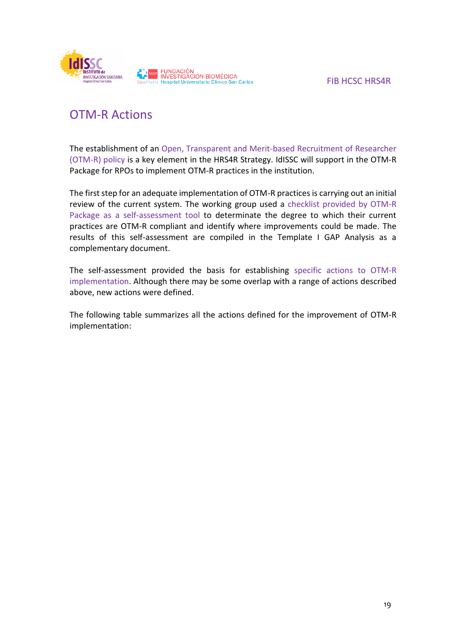

# <span id="page-19-0"></span>OTM-R Actions

The establishment of an Open, Transparent and Merit-based Recruitment of Researcher (OTM-R) policy is a key element in the HRS4R Strategy. IdISSC will support in the OTM-R Package for RPOs to implement OTM-R practices in the institution.

The first step for an adequate implementation of OTM-R practices is carrying out an initial review of the current system. The working group used a checklist provided by OTM-R Package as a self-assessment tool to determinate the degree to which their current practices are OTM-R compliant and identify where improvements could be made. The results of this self-assessment are compiled in the Template I GAP Analysis as a complementary document.

The self-assessment provided the basis for establishing specific actions to OTM-R implementation. Although there may be some overlap with a range of actions described above, new actions were defined.

The following table summarizes all the actions defined for the improvement of OTM-R implementation: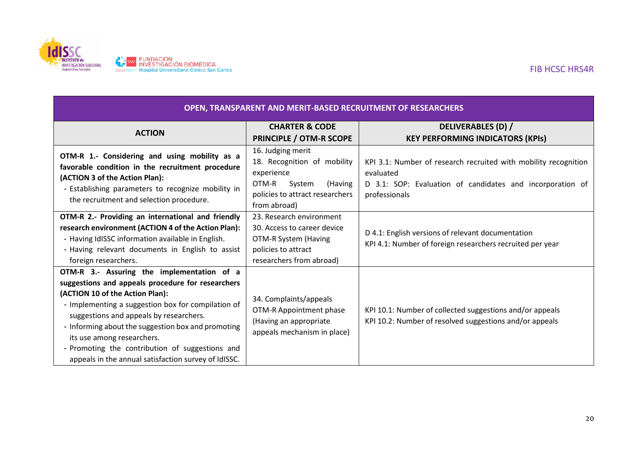

| <b>OPEN, TRANSPARENT AND MERIT-BASED RECRUITMENT OF RESEARCHERS</b>                                                                                                                                                                                                                                                                                                                                                                |                                                                                                                                                 |                                                                                                                                                            |  |
|------------------------------------------------------------------------------------------------------------------------------------------------------------------------------------------------------------------------------------------------------------------------------------------------------------------------------------------------------------------------------------------------------------------------------------|-------------------------------------------------------------------------------------------------------------------------------------------------|------------------------------------------------------------------------------------------------------------------------------------------------------------|--|
| <b>ACTION</b>                                                                                                                                                                                                                                                                                                                                                                                                                      | <b>CHARTER &amp; CODE</b>                                                                                                                       | DELIVERABLES (D) /                                                                                                                                         |  |
|                                                                                                                                                                                                                                                                                                                                                                                                                                    | <b>PRINCIPLE / OTM-R SCOPE</b>                                                                                                                  | <b>KEY PERFORMING INDICATORS (KPIs)</b>                                                                                                                    |  |
| OTM-R 1.- Considering and using mobility as a<br>favorable condition in the recruitment procedure<br>(ACTION 3 of the Action Plan):<br>- Establishing parameters to recognize mobility in<br>the recruitment and selection procedure.                                                                                                                                                                                              | 16. Judging merit<br>18. Recognition of mobility<br>experience<br>OTM-R<br>System<br>(Having<br>policies to attract researchers<br>from abroad) | KPI 3.1: Number of research recruited with mobility recognition<br>evaluated<br>D 3.1: SOP: Evaluation of candidates and incorporation of<br>professionals |  |
| OTM-R 2.- Providing an international and friendly<br>research environment (ACTION 4 of the Action Plan):<br>- Having IdISSC information available in English.<br>- Having relevant documents in English to assist<br>foreign researchers.                                                                                                                                                                                          | 23. Research environment<br>30. Access to career device<br>OTM-R System (Having<br>policies to attract<br>researchers from abroad)              | D 4.1: English versions of relevant documentation<br>KPI 4.1: Number of foreign researchers recruited per year                                             |  |
| OTM-R 3.- Assuring the implementation of a<br>suggestions and appeals procedure for researchers<br>(ACTION 10 of the Action Plan):<br>- Implementing a suggestion box for compilation of<br>suggestions and appeals by researchers.<br>- Informing about the suggestion box and promoting<br>its use among researchers.<br>- Promoting the contribution of suggestions and<br>appeals in the annual satisfaction survey of IdISSC. | 34. Complaints/appeals<br>OTM-R Appointment phase<br>(Having an appropriate<br>appeals mechanism in place)                                      | KPI 10.1: Number of collected suggestions and/or appeals<br>KPI 10.2: Number of resolved suggestions and/or appeals                                        |  |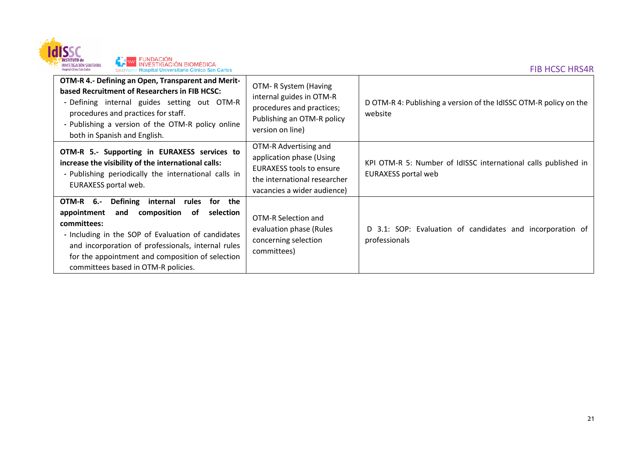

| OTM-R 4.- Defining an Open, Transparent and Merit-<br>based Recruitment of Researchers in FIB HCSC:<br>- Defining internal guides setting out OTM-R<br>procedures and practices for staff.<br>- Publishing a version of the OTM-R policy online<br>both in Spanish and English.                                         | OTM-R System (Having<br>internal guides in OTM-R<br>procedures and practices;<br>Publishing an OTM-R policy<br>version on line)                     | D OTM-R 4: Publishing a version of the IdISSC OTM-R policy on the<br>website                 |
|-------------------------------------------------------------------------------------------------------------------------------------------------------------------------------------------------------------------------------------------------------------------------------------------------------------------------|-----------------------------------------------------------------------------------------------------------------------------------------------------|----------------------------------------------------------------------------------------------|
| OTM-R 5.- Supporting in EURAXESS services to<br>increase the visibility of the international calls:<br>- Publishing periodically the international calls in<br>EURAXESS portal web.                                                                                                                                     | OTM-R Advertising and<br>application phase (Using<br><b>EURAXESS tools to ensure</b><br>the international researcher<br>vacancies a wider audience) | KPI OTM-R 5: Number of IdISSC international calls published in<br><b>EURAXESS portal web</b> |
| Defining internal rules for the<br>OTM-R 6.-<br>appointment and<br>composition<br>of<br>selection<br>committees:<br>- Including in the SOP of Evaluation of candidates<br>and incorporation of professionals, internal rules<br>for the appointment and composition of selection<br>committees based in OTM-R policies. | OTM-R Selection and<br>evaluation phase (Rules<br>concerning selection<br>committees)                                                               | D 3.1: SOP: Evaluation of candidates and incorporation of<br>professionals                   |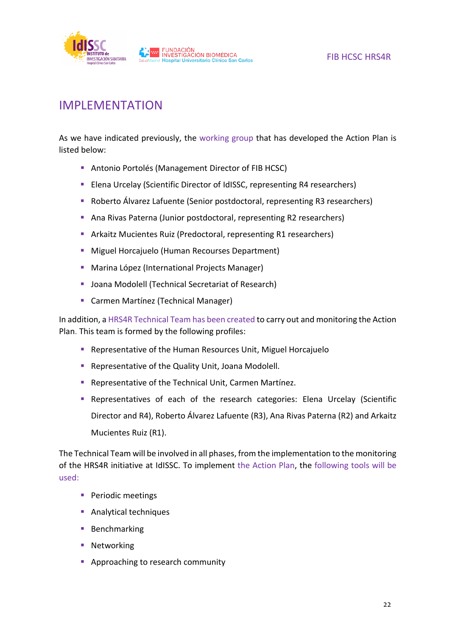

## <span id="page-22-0"></span>IMPLEMENTATION

As we have indicated previously, the working group that has developed the Action Plan is listed below:

- **Antonio Portolés (Management Director of FIB HCSC)**
- **Elena Urcelay (Scientific Director of IdISSC, representing R4 researchers)**
- Roberto Álvarez Lafuente (Senior postdoctoral, representing R3 researchers)
- Ana Rivas Paterna (Junior postdoctoral, representing R2 researchers)
- Arkaitz Mucientes Ruiz (Predoctoral, representing R1 researchers)
- **Miguel Horcajuelo (Human Recourses Department)**
- **Marina López (International Projects Manager)**
- **Joana Modolell (Technical Secretariat of Research)**
- **Carmen Martínez (Technical Manager)**

In addition, a HRS4R Technical Team has been created to carry out and monitoring the Action Plan. This team is formed by the following profiles:

- Representative of the Human Resources Unit, Miguel Horcajuelo
- Representative of the Quality Unit, Joana Modolell.
- **Representative of the Technical Unit, Carmen Martínez.**
- Representatives of each of the research categories: Elena Urcelay (Scientific Director and R4), Roberto Álvarez Lafuente (R3), Ana Rivas Paterna (R2) and Arkaitz Mucientes Ruiz (R1).

The Technical Team will be involved in all phases, from the implementation to the monitoring of the HRS4R initiative at IdISSC. To implement the Action Plan, the following tools will be used:

- **Periodic meetings**
- **Analytical techniques**
- **Benchmarking**
- **Networking**
- **Approaching to research community**